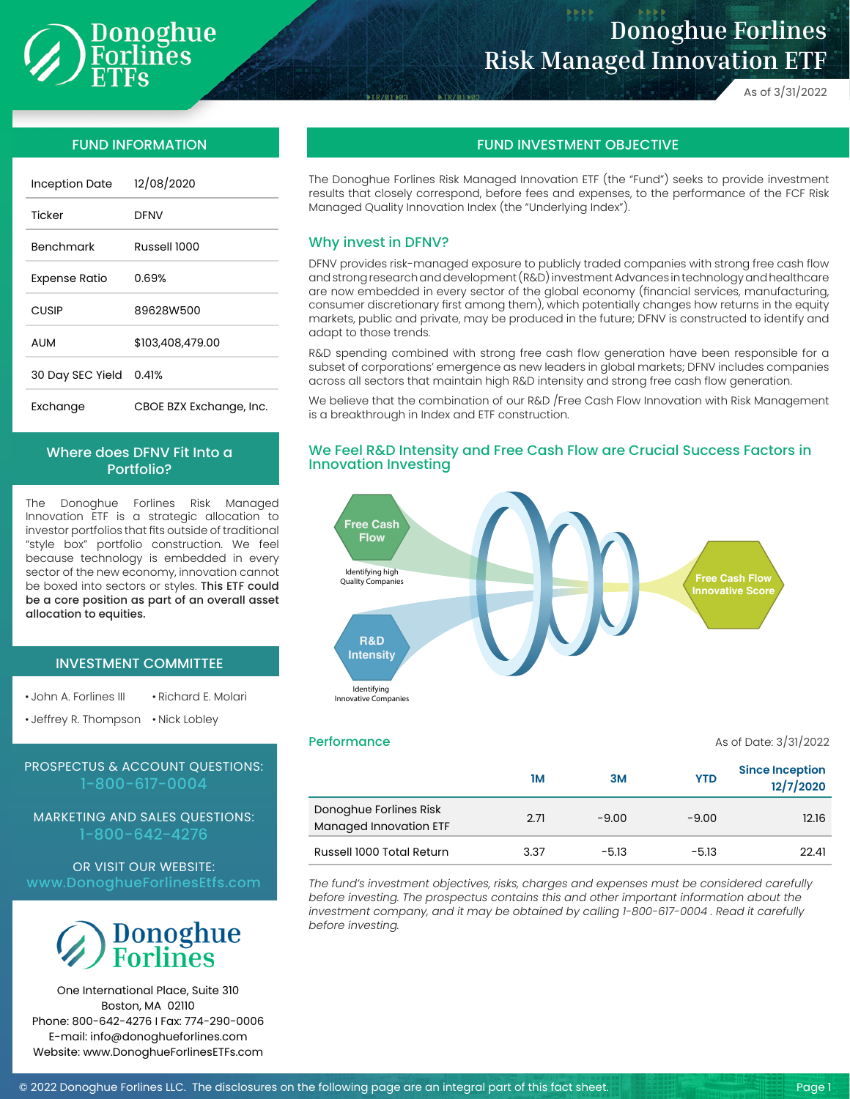

# **Donoghue Forlines Risk Managed Innovation ETF**

As of 3/31/2022

| <b>Inception Date</b> | 12/08/2020              |
|-----------------------|-------------------------|
| Ticker                | DFNV                    |
| <b>Benchmark</b>      | Russell 1000            |
| <b>Expense Ratio</b>  | 0.69%                   |
| CUSIP                 | 89628W500               |
| AUM                   | \$103,408,479.00        |
| 30 Day SEC Yield      | 0.41%                   |
| Exchange              | CBOE BZX Exchange, Inc. |

# Where does DFNV Fit Into a Portfolio?

The Donoghue Forlines Risk Managed Innovation ETF is a strategic allocation to investor portfolios that fits outside of traditional "style box" portfolio construction. We feel because technology is embedded in every sector of the new economy, innovation cannot be boxed into sectors or styles. This ETF could be a core position as part of an overall asset allocation to equities.

## INVESTMENT COMMITTEE

• John A. Forlines III • Richard E. Molari

• Jeffrey R. Thompson • Nick Lobley

# PROSPECTUS & ACCOUNT QUESTIONS: 1-800-617-0004

MARKETING AND SALES QUESTIONS: 1-800-642-4276

OR VISIT OUR WEBSITE: www.DonoghueForlinesEtfs.com



One International Place, Suite 310 Boston, MA 02110 Phone: 800-642-4276 I Fax: 774-290-0006 E-mail: info@donoghueforlines.com Website: www.DonoghueForlinesETFs.com

# FUND INFORMATION FUND INVESTMENT OBJECTIVE

The Donoghue Forlines Risk Managed Innovation ETF (the "Fund") seeks to provide investment results that closely correspond, before fees and expenses, to the performance of the FCF Risk Managed Quality Innovation Index (the "Underlying Index").

### Why invest in DFNV?

DFNV provides risk-managed exposure to publicly traded companies with strong free cash flow and strong research and development (R&D) investment Advances in technology and healthcare are now embedded in every sector of the global economy (financial services, manufacturing, consumer discretionary first among them), which potentially changes how returns in the equity markets, public and private, may be produced in the future; DFNV is constructed to identify and adapt to those trends.

R&D spending combined with strong free cash flow generation have been responsible for a subset of corporations' emergence as new leaders in global markets; DFNV includes companies across all sectors that maintain high R&D intensity and strong free cash flow generation.

We believe that the combination of our R&D / Free Cash Flow Innovation with Risk Management is a breakthrough in Index and ETF construction.

## We Feel R&D Intensity and Free Cash Flow are Crucial Success Factors in Innovation Investing



**Performance** As of Date: 3/31/2022

|                                                  | 1М   | 3M      | <b>YTD</b> | <b>Since Inception</b><br>12/7/2020 |
|--------------------------------------------------|------|---------|------------|-------------------------------------|
| Donoghue Forlines Risk<br>Managed Innovation ETF | 2.71 | $-9.00$ | $-9.00$    | 12.16                               |
| Russell 1000 Total Return                        | 3.37 | $-5.13$ | $-5.13$    | 22.41                               |

*The fund's investment objectives, risks, charges and expenses must be considered carefully before investing. The prospectus contains this and other important information about the investment company, and it may be obtained by calling 1-800-617-0004 . Read it carefully before investing.*